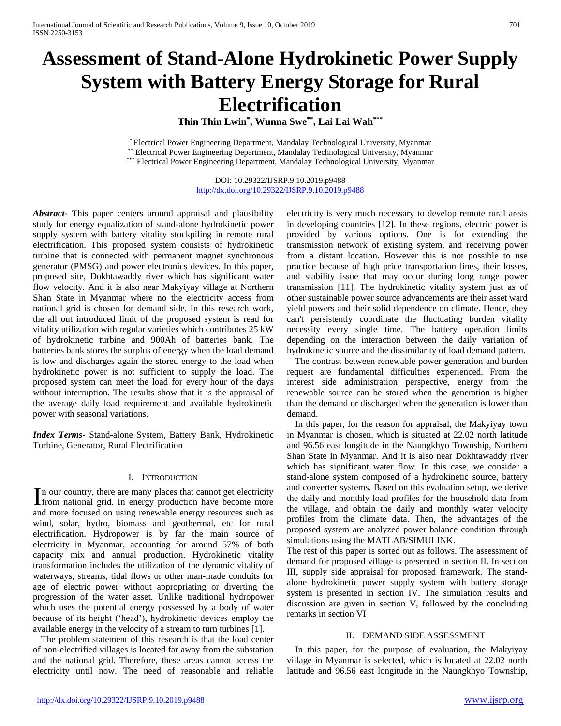# **Assessment of Stand-Alone Hydrokinetic Power Supply System with Battery Energy Storage for Rural Electrification**

**Thin Thin Lwin\* , Wunna Swe\*\* , Lai Lai Wah\*\*\***

\* Electrical Power Engineering Department, Mandalay Technological University, Myanmar \*\* Electrical Power Engineering Department, Mandalay Technological University, Myanmar \*\*\* Electrical Power Engineering Department, Mandalay Technological University, Myanmar

> DOI: 10.29322/IJSRP.9.10.2019.p9488 <http://dx.doi.org/10.29322/IJSRP.9.10.2019.p9488>

*Abstract***-** This paper centers around appraisal and plausibility study for energy equalization of stand-alone hydrokinetic power supply system with battery vitality stockpiling in remote rural electrification. This proposed system consists of hydrokinetic turbine that is connected with permanent magnet synchronous generator (PMSG) and power electronics devices. In this paper, proposed site, Dokhtawaddy river which has significant water flow velocity. And it is also near Makyiyay village at Northern Shan State in Myanmar where no the electricity access from national grid is chosen for demand side. In this research work, the all out introduced limit of the proposed system is read for vitality utilization with regular varieties which contributes 25 kW of hydrokinetic turbine and 900Ah of batteries bank. The batteries bank stores the surplus of energy when the load demand is low and discharges again the stored energy to the load when hydrokinetic power is not sufficient to supply the load. The proposed system can meet the load for every hour of the days without interruption. The results show that it is the appraisal of the average daily load requirement and available hydrokinetic power with seasonal variations.

*Index Terms*- Stand-alone System, Battery Bank, Hydrokinetic Turbine, Generator, Rural Electrification

# I. INTRODUCTION

n our country, there are many places that cannot get electricity In our country, there are many places that cannot get electricity<br>from national grid. In energy production have become more and more focused on using renewable energy resources such as wind, solar, hydro, biomass and geothermal, etc for rural electrification. Hydropower is by far the main source of electricity in Myanmar, accounting for around 57% of both capacity mix and annual production. Hydrokinetic vitality transformation includes the utilization of the dynamic vitality of waterways, streams, tidal flows or other man-made conduits for age of electric power without appropriating or diverting the progression of the water asset. Unlike traditional hydropower which uses the potential energy possessed by a body of water because of its height ('head'), hydrokinetic devices employ the available energy in the velocity of a stream to turn turbines [1].

The problem statement of this research is that the load center of non-electrified villages is located far away from the substation and the national grid. Therefore, these areas cannot access the electricity until now. The need of reasonable and reliable

electricity is very much necessary to develop remote rural areas in developing countries [12]. In these regions, electric power is provided by various options. One is for extending the transmission network of existing system, and receiving power from a distant location. However this is not possible to use practice because of high price transportation lines, their losses, and stability issue that may occur during long range power transmission [11]. The hydrokinetic vitality system just as of other sustainable power source advancements are their asset ward yield powers and their solid dependence on climate. Hence, they can't persistently coordinate the fluctuating burden vitality necessity every single time. The battery operation limits depending on the interaction between the daily variation of hydrokinetic source and the dissimilarity of load demand pattern.

The contrast between renewable power generation and burden request are fundamental difficulties experienced. From the interest side administration perspective, energy from the renewable source can be stored when the generation is higher than the demand or discharged when the generation is lower than demand.

In this paper, for the reason for appraisal, the Makyiyay town in Myanmar is chosen, which is situated at 22.02 north latitude and 96.56 east longitude in the Naungkhyo Township, Northern Shan State in Myanmar. And it is also near Dokhtawaddy river which has significant water flow. In this case, we consider a stand-alone system composed of a hydrokinetic source, battery and converter systems. Based on this evaluation setup, we derive the daily and monthly load profiles for the household data from the village, and obtain the daily and monthly water velocity profiles from the climate data. Then, the advantages of the proposed system are analyzed power balance condition through simulations using the MATLAB/SIMULINK.

The rest of this paper is sorted out as follows. The assessment of demand for proposed village is presented in section II. In section III, supply side appraisal for proposed framework. The standalone hydrokinetic power supply system with battery storage system is presented in section IV. The simulation results and discussion are given in section V, followed by the concluding remarks in section VI

# II. DEMAND SIDE ASSESSMENT

In this paper, for the purpose of evaluation, the Makyiyay village in Myanmar is selected, which is located at 22.02 north latitude and 96.56 east longitude in the Naungkhyo Township,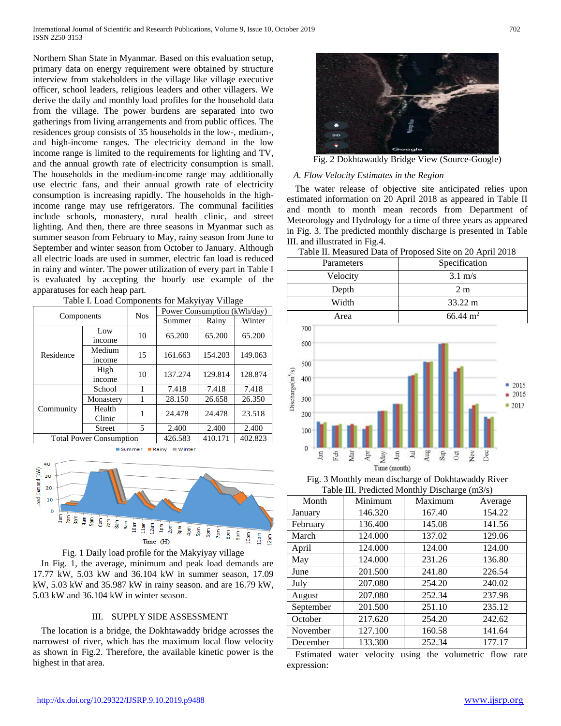Northern Shan State in Myanmar. Based on this evaluation setup, primary data on energy requirement were obtained by structure interview from stakeholders in the village like village executive officer, school leaders, religious leaders and other villagers. We derive the daily and monthly load profiles for the household data from the village. The power burdens are separated into two gatherings from living arrangements and from public offices. The residences group consists of 35 households in the low-, medium-, and high-income ranges. The electricity demand in the low income range is limited to the requirements for lighting and TV, and the annual growth rate of electricity consumption is small. The households in the medium-income range may additionally use electric fans, and their annual growth rate of electricity consumption is increasing rapidly. The households in the highincome range may use refrigerators. The communal facilities include schools, monastery, rural health clinic, and street lighting. And then, there are three seasons in Myanmar such as summer season from February to May, rainy season from June to September and winter season from October to January. Although all electric loads are used in summer, electric fan load is reduced in rainy and winter. The power utilization of every part in Table I is evaluated by accepting the hourly use example of the apparatuses for each heap part.

| Components                     |                  | <b>Nos</b> | Power Consumption (kWh/day) |         |         |  |
|--------------------------------|------------------|------------|-----------------------------|---------|---------|--|
|                                |                  |            | Summer                      | Rainy   | Winter  |  |
|                                | Low              | 10         | 65.200                      | 65.200  | 65.200  |  |
|                                | income           |            |                             |         |         |  |
| Residence                      | Medium<br>income | 15         | 161.663                     | 154.203 | 149.063 |  |
|                                | High<br>income   | 10         | 137.274                     | 129.814 | 128.874 |  |
| Community                      | School           |            | 7.418                       | 7.418   | 7.418   |  |
|                                | Monastery        |            | 28.150                      | 26.658  | 26.350  |  |
|                                | Health           | 1          | 24.478                      | 24.478  | 23.518  |  |
|                                | Clinic           |            |                             |         |         |  |
|                                | <b>Street</b>    | 5          | 2.400                       | 2.400   | 2.400   |  |
| <b>Total Power Consumption</b> |                  | 426.583    | 410.171                     | 402.823 |         |  |

Table I. Load Components for Makyiyay Village

40 oad Demand (kW) 30 20 10  $\frac{3\text{am}}{4\text{am}}$ <br> $\frac{4\text{am}}{5\text{am}}$ <br> $\frac{5\text{am}}{2\text{am}}$ <br> $\frac{7\text{am}}{2\text{am}}$ <br> $\frac{1}{2\text{am}}$ <br> $\frac{1}{2\text{am}}$ <br> $\frac{1}{2\text{am}}$ 툐  $2am$ **L** 툝 툂 툂 5 ng<br>G

Summer **Rainy** Winter

Fig. 1 Daily load profile for the Makyiyay village In Fig. 1, the average, minimum and peak load demands are 17.77 kW, 5.03 kW and 36.104 kW in summer season, 17.09 kW, 5.03 kW and 35.987 kW in rainy season. and are 16.79 kW, 5.03 kW and 36.104 kW in winter season.

Time (H)

# III. SUPPLY SIDE ASSESSMENT

The location is a bridge, the Dokhtawaddy bridge acrosses the narrowest of river, which has the maximum local flow velocity as shown in Fig.2. Therefore, the available kinetic power is the highest in that area.



Fig. 2 Dokhtawaddy Bridge View (Source-Google)

## *A. Flow Velocity Estimates in the Region*

The water release of objective site anticipated relies upon estimated information on 20 April 2018 as appeared in Table II and month to month mean records from Department of Meteorology and Hydrology for a time of three years as appeared in Fig. 3. The predicted monthly discharge is presented in Table III. and illustrated in Fig.4.

| Table II. Measured Data of Proposed Site on 20 April 2018 |  |  |
|-----------------------------------------------------------|--|--|
| Specification                                             |  |  |
| $3.1 \text{ m/s}$                                         |  |  |
| 2 <sub>m</sub>                                            |  |  |
| 33.22 m                                                   |  |  |
| $66.44 \text{ m}^2$                                       |  |  |
|                                                           |  |  |
|                                                           |  |  |
|                                                           |  |  |
|                                                           |  |  |





Fig. 3 Monthly mean discharge of Dokhtawaddy River Table III. Predicted Monthly Discharge (m3/s)

| Month     | Minimum | Maximum | Average |
|-----------|---------|---------|---------|
| January   | 146.320 | 167.40  | 154.22  |
| February  | 136.400 | 145.08  | 141.56  |
| March     | 124.000 | 137.02  | 129.06  |
| April     | 124.000 | 124.00  | 124.00  |
| May       | 124.000 | 231.26  | 136.80  |
| June      | 201.500 | 241.80  | 226.54  |
| July      | 207.080 | 254.20  | 240.02  |
| August    | 207.080 | 252.34  | 237.98  |
| September | 201.500 | 251.10  | 235.12  |
| October   | 217.620 | 254.20  | 242.62  |
| November  | 127.100 | 160.58  | 141.64  |
| December  | 133.300 | 252.34  | 177.17  |

Estimated water velocity using the volumetric flow rate expression: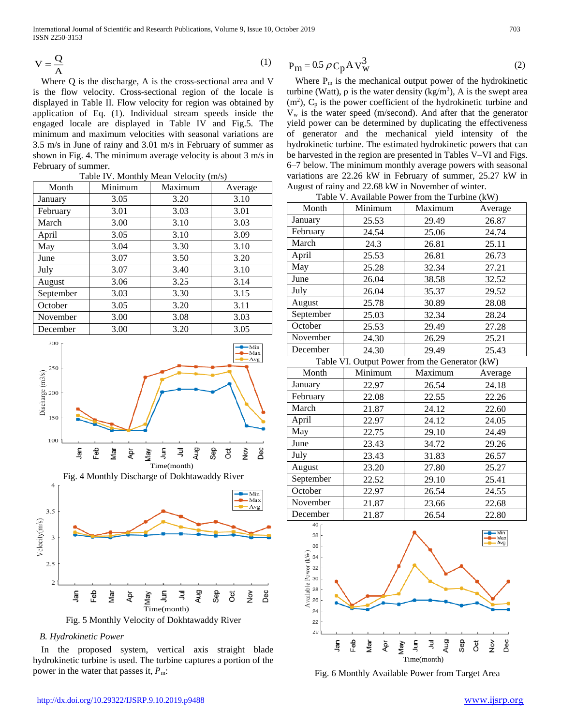International Journal of Scientific and Research Publications, Volume 9, Issue 10, October 2019 703 ISSN 2250-3153

$$
V = \frac{Q}{A}
$$
 (1)

Where Q is the discharge, A is the cross-sectional area and V is the flow velocity. Cross-sectional region of the locale is displayed in Table II. Flow velocity for region was obtained by application of Eq. (1). Individual stream speeds inside the engaged locale are displayed in Table IV and Fig.5. The minimum and maximum velocities with seasonal variations are 3.5 m/s in June of rainy and 3.01 m/s in February of summer as shown in Fig. 4. The minimum average velocity is about 3 m/s in February of summer.

| Month     | $1000 + 110000 + 10000 + 10000$<br>Minimum | Maximum | Average |
|-----------|--------------------------------------------|---------|---------|
| January   | 3.05                                       | 3.20    | 3.10    |
| February  | 3.01                                       | 3.03    | 3.01    |
| March     | 3.00                                       | 3.10    | 3.03    |
| April     | 3.05                                       | 3.10    | 3.09    |
| May       | 3.04                                       | 3.30    | 3.10    |
| June      | 3.07                                       | 3.50    | 3.20    |
| July      | 3.07                                       | 3.40    | 3.10    |
| August    | 3.06                                       | 3.25    | 3.14    |
| September | 3.03                                       | 3.30    | 3.15    |
| October   | 3.05                                       | 3.20    | 3.11    |
| November  | 3.00                                       | 3.08    | 3.03    |
| December  | 3.00                                       | 3.20    | 3.05    |

Table IV. Monthly Mean Velocity (m/s)



# *B. Hydrokinetic Power*

In the proposed system, vertical axis straight blade hydrokinetic turbine is used. The turbine captures a portion of the power in the water that passes it,  $P_{\text{m}}$ :

$$
P_m = 0.5 \rho C_p A V_w^3 \tag{2}
$$

Where  $P_m$  is the mechanical output power of the hydrokinetic turbine (Watt),  $ρ$  is the water density (kg/m<sup>3</sup>), A is the swept area  $(m<sup>2</sup>)$ ,  $C_p$  is the power coefficient of the hydrokinetic turbine and  $V_w$  is the water speed (m/second). And after that the generator yield power can be determined by duplicating the effectiveness of generator and the mechanical yield intensity of the hydrokinetic turbine. The estimated hydrokinetic powers that can be harvested in the region are presented in Tables V–VI and Figs. 6–7 below. The minimum monthly average powers with seasonal variations are 22.26 kW in February of summer, 25.27 kW in August of rainy and 22.68 kW in November of winter.

| Table V. Available Power from the Turbine (kW) |         |         |         |  |  |
|------------------------------------------------|---------|---------|---------|--|--|
| Month                                          | Minimum | Maximum | Average |  |  |
| January                                        | 25.53   | 29.49   | 26.87   |  |  |
| February                                       | 24.54   | 25.06   | 24.74   |  |  |
| March                                          | 24.3    | 26.81   | 25.11   |  |  |
| April                                          | 25.53   | 26.81   | 26.73   |  |  |
| May                                            | 25.28   | 32.34   | 27.21   |  |  |
| June                                           | 26.04   | 38.58   | 32.52   |  |  |
| July                                           | 26.04   | 35.37   | 29.52   |  |  |
| August                                         | 25.78   | 30.89   | 28.08   |  |  |
| September                                      | 25.03   | 32.34   | 28.24   |  |  |
| October                                        | 25.53   | 29.49   | 27.28   |  |  |
| November                                       | 24.30   | 26.29   | 25.21   |  |  |
| December                                       | 24.30   | 29.49   | 25.43   |  |  |
| Table VI. Output Power from the Generator (kW) |         |         |         |  |  |
| Month                                          | Minimum | Maximum | Average |  |  |
| January                                        | 22.97   | 26.54   | 24.18   |  |  |
| February                                       | 22.08   | 22.55   | 22.26   |  |  |
| March                                          | 21.87   | 24.12   | 22.60   |  |  |
| April                                          | 22.97   | 24.12   | 24.05   |  |  |
| May                                            | 22.75   | 29.10   | 24.49   |  |  |
| June                                           | 23.43   | 34.72   | 29.26   |  |  |
| July                                           | 23.43   | 31.83   | 26.57   |  |  |
| August                                         | 23.20   | 27.80   | 25.27   |  |  |
| September                                      | 22.52   | 29.10   | 25.41   |  |  |
| October                                        | 22.97   | 26.54   | 24.55   |  |  |
| November                                       | 21.87   | 23.66   | 22.68   |  |  |
|                                                |         |         |         |  |  |
| December                                       | 21.87   | 26.54   | 22.80   |  |  |



Fig. 6 Monthly Available Power from Target Area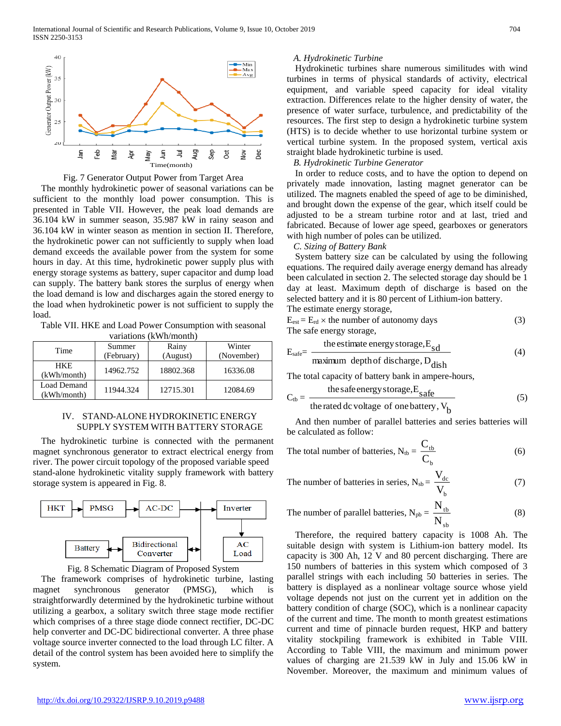



The monthly hydrokinetic power of seasonal variations can be sufficient to the monthly load power consumption. This is presented in Table VII. However, the peak load demands are 36.104 kW in summer season, 35.987 kW in rainy season and 36.104 kW in winter season as mention in section II. Therefore, the hydrokinetic power can not sufficiently to supply when load demand exceeds the available power from the system for some hours in day. At this time, hydrokinetic power supply plus with energy storage systems as battery, super capacitor and dump load can supply. The battery bank stores the surplus of energy when the load demand is low and discharges again the stored energy to the load when hydrokinetic power is not sufficient to supply the load.

Table VII. HKE and Load Power Consumption with seasonal variations (kWh/month)

| valiations (K W II/Inohul) |            |           |            |  |  |
|----------------------------|------------|-----------|------------|--|--|
| Time                       | Summer     | Rainy     | Winter     |  |  |
|                            | (February) | (August)  | (November) |  |  |
| <b>HKE</b><br>(kWh/month)  | 14962.752  | 18802.368 | 16336.08   |  |  |
| Load Demand<br>(kWh/month) | 11944.324  | 12715.301 | 12084.69   |  |  |

# IV. STAND-ALONE HYDROKINETIC ENERGY SUPPLY SYSTEM WITH BATTERY STORAGE

The hydrokinetic turbine is connected with the permanent magnet synchronous generator to extract electrical energy from river. The power circuit topology of the proposed variable speed stand-alone hydrokinetic vitality supply framework with battery storage system is appeared in Fig. 8.





The framework comprises of hydrokinetic turbine, lasting magnet synchronous generator (PMSG), which is straightforwardly determined by the hydrokinetic turbine without utilizing a gearbox, a solitary switch three stage mode rectifier which comprises of a three stage diode connect rectifier, DC-DC help converter and DC-DC bidirectional converter. A three phase voltage source inverter connected to the load through LC filter. A detail of the control system has been avoided here to simplify the system.

## *A. Hydrokinetic Turbine*

Hydrokinetic turbines share numerous similitudes with wind turbines in terms of physical standards of activity, electrical equipment, and variable speed capacity for ideal vitality extraction. Differences relate to the higher density of water, the presence of water surface, turbulence, and predictability of the resources. The first step to design a hydrokinetic turbine system (HTS) is to decide whether to use horizontal turbine system or vertical turbine system. In the proposed system, vertical axis straight blade hydrokinetic turbine is used.

# *B. Hydrokinetic Turbine Generator*

In order to reduce costs, and to have the option to depend on privately made innovation, lasting magnet generator can be utilized. The magnets enabled the speed of age to be diminished, and brought down the expense of the gear, which itself could be adjusted to be a stream turbine rotor and at last, tried and fabricated. Because of lower age speed, gearboxes or generators with high number of poles can be utilized.

## *C. Sizing of Battery Bank*

System battery size can be calculated by using the following equations. The required daily average energy demand has already been calculated in section 2. The selected storage day should be 1 day at least. Maximum depth of discharge is based on the selected battery and it is 80 percent of Lithium-ion battery.

The estimate energy storage,

$$
E_{est} = E_{rd} \times the number of automomy days
$$
 (3)  
The safe energy storage,

$$
E_{\text{safe}} = \frac{\text{the estimate energy storage}, E_{\text{sd}}}{(4)}
$$

$$
maximum depth of discharge, Ddish
$$

The total capacity of battery bank in ampere-hours,

$$
C_{tb} = \frac{\text{the safe energy storage,} E_{safe}}{\text{the rated dc voltage of one battery, } V_b}
$$
 (5)

And then number of parallel batteries and series batteries will be calculated as follow:

The total number of batteries, 
$$
N_{\text{tb}} = \frac{C_{\text{tb}}}{C_{\text{b}}}
$$
 (6)

The number of batteries in series,  $N_{sb} = \frac{V_{dc}}{I}$ V

$$
V_{b}
$$

The number of parallel batteries, 
$$
N_{pb} = \frac{N_{tb}}{N_{sb}}
$$
 (8)

Therefore, the required battery capacity is 1008 Ah. The suitable design with system is Lithium-ion battery model. Its capacity is 300 Ah, 12 V and 80 percent discharging. There are 150 numbers of batteries in this system which composed of 3 parallel strings with each including 50 batteries in series. The battery is displayed as a nonlinear voltage source whose yield voltage depends not just on the current yet in addition on the battery condition of charge (SOC), which is a nonlinear capacity of the current and time. The month to month greatest estimations current and time of pinnacle burden request, HKP and battery vitality stockpiling framework is exhibited in Table VIII. According to Table VIII, the maximum and minimum power values of charging are 21.539 kW in July and 15.06 kW in November. Moreover, the maximum and minimum values of

(7)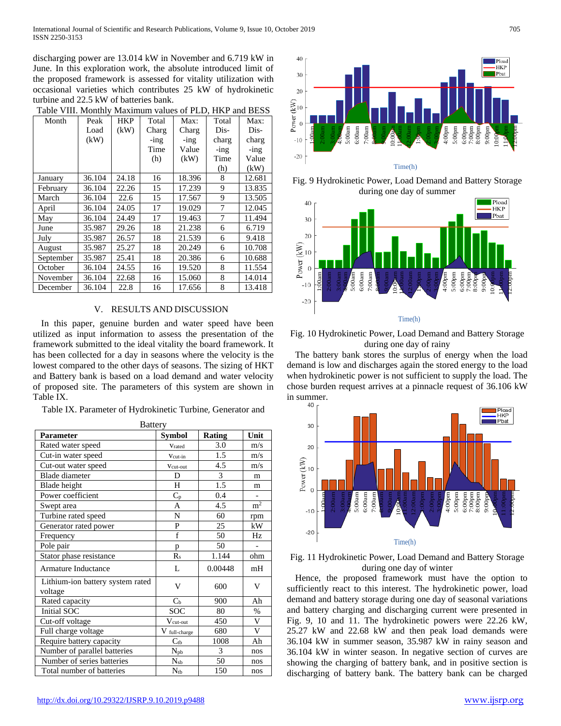discharging power are 13.014 kW in November and 6.719 kW in June. In this exploration work, the absolute introduced limit of the proposed framework is assessed for vitality utilization with occasional varieties which contributes 25 kW of hydrokinetic turbine and 22.5 kW of batteries bank.

| Table VIII. Monthly Maximum values of PLD, HKP and BESS |        |       |         |        |         |         |
|---------------------------------------------------------|--------|-------|---------|--------|---------|---------|
| Month                                                   | Peak   | HKP   | Total   | Max:   | Total   | Max:    |
|                                                         | Load   | (kW)  | Charg   | Charg  | Dis-    | Dis-    |
|                                                         | (kW)   |       | $-$ ing | -ing   | charg   | charg   |
|                                                         |        |       | Time    | Value  | $-$ ing | $-$ ing |
|                                                         |        |       | (h)     | (kW)   | Time    | Value   |
|                                                         |        |       |         |        | (h)     | (kW)    |
| January                                                 | 36.104 | 24.18 | 16      | 18.396 | 8       | 12.681  |
| February                                                | 36.104 | 22.26 | 15      | 17.239 | 9       | 13.835  |
| March                                                   | 36.104 | 22.6  | 15      | 17.567 | 9       | 13.505  |
| April                                                   | 36.104 | 24.05 | 17      | 19.029 | 7       | 12.045  |
| May                                                     | 36.104 | 24.49 | 17      | 19.463 | 7       | 11.494  |
| June                                                    | 35.987 | 29.26 | 18      | 21.238 | 6       | 6.719   |
| July                                                    | 35.987 | 26.57 | 18      | 21.539 | 6       | 9.418   |
| August                                                  | 35.987 | 25.27 | 18      | 20.249 | 6       | 10.708  |
| September                                               | 35.987 | 25.41 | 18      | 20.386 | 6       | 10.688  |
| October                                                 | 36.104 | 24.55 | 16      | 19.520 | 8       | 11.554  |
| November                                                | 36.104 | 22.68 | 16      | 15.060 | 8       | 14.014  |
| December                                                | 36.104 | 22.8  | 16      | 17.656 | 8       | 13.418  |

 $\sim$  VIII. Monthly Maximum values of PLD. HKP and RESS

### V. RESULTS AND DISCUSSION

In this paper, genuine burden and water speed have been utilized as input information to assess the presentation of the framework submitted to the ideal vitality the board framework. It has been collected for a day in seasons where the velocity is the lowest compared to the other days of seasons. The sizing of HKT and Battery bank is based on a load demand and water velocity of proposed site. The parameters of this system are shown in Table IX.

Table IX. Parameter of Hydrokinetic Turbine, Generator and

| <b>Battery</b>                              |                |               |                |  |  |
|---------------------------------------------|----------------|---------------|----------------|--|--|
| <b>Parameter</b>                            | Symbol         | <b>Rating</b> | Unit           |  |  |
| Rated water speed                           | Vrated         | 3.0           | m/s            |  |  |
| Cut-in water speed                          | Vcut-in        | 1.5           | m/s            |  |  |
| Cut-out water speed                         | Vcut-out       | 4.5           | m/s            |  |  |
| <b>Blade</b> diameter                       | D              | 3             | m              |  |  |
| Blade height                                | H              | 1.5           | m              |  |  |
| Power coefficient                           | $C_p$          | 0.4           |                |  |  |
| Swept area                                  | A              | 4.5           | m <sup>2</sup> |  |  |
| Turbine rated speed                         | N              | 60            | rpm            |  |  |
| Generator rated power                       | P              | 25            | kW             |  |  |
| Frequency                                   | f              | 50            | Hz             |  |  |
| Pole pair                                   | p              | 50            |                |  |  |
| Stator phase resistance                     | $R_s$          | 1.144         | ohm            |  |  |
| Armature Inductance                         | L              | 0.00448       | mH             |  |  |
| Lithium-ion battery system rated<br>voltage | V              | 600           | V              |  |  |
| Rated capacity                              | C <sub>b</sub> | 900           | Ah             |  |  |
| Initial SOC                                 | <b>SOC</b>     | 80            | $\%$           |  |  |
| Cut-off voltage                             | $V_{cut-out}$  | 450           | V              |  |  |
| Full charge voltage                         | V full-charge  | 680           | V              |  |  |
| Require battery capacity                    | $C_{tb}$       | 1008          | Ah             |  |  |
| Number of parallel batteries                | $N_{pb}$       | 3             | nos            |  |  |
| Number of series batteries                  | $N_{sb}$       | 50            | nos            |  |  |
| Total number of batteries                   | $N_{tb}$       | 150           | nos            |  |  |



Fig. 9 Hydrokinetic Power, Load Demand and Battery Storage during one day of summer



Fig. 10 Hydrokinetic Power, Load Demand and Battery Storage during one day of rainy

The battery bank stores the surplus of energy when the load demand is low and discharges again the stored energy to the load when hydrokinetic power is not sufficient to supply the load. The chose burden request arrives at a pinnacle request of 36.106 kW in summer.



Fig. 11 Hydrokinetic Power, Load Demand and Battery Storage during one day of winter

Hence, the proposed framework must have the option to sufficiently react to this interest. The hydrokinetic power, load demand and battery storage during one day of seasonal variations and battery charging and discharging current were presented in Fig. 9, 10 and 11. The hydrokinetic powers were 22.26 kW, 25.27 kW and 22.68 kW and then peak load demands were 36.104 kW in summer season, 35.987 kW in rainy season and 36.104 kW in winter season. In negative section of curves are showing the charging of battery bank, and in positive section is discharging of battery bank. The battery bank can be charged